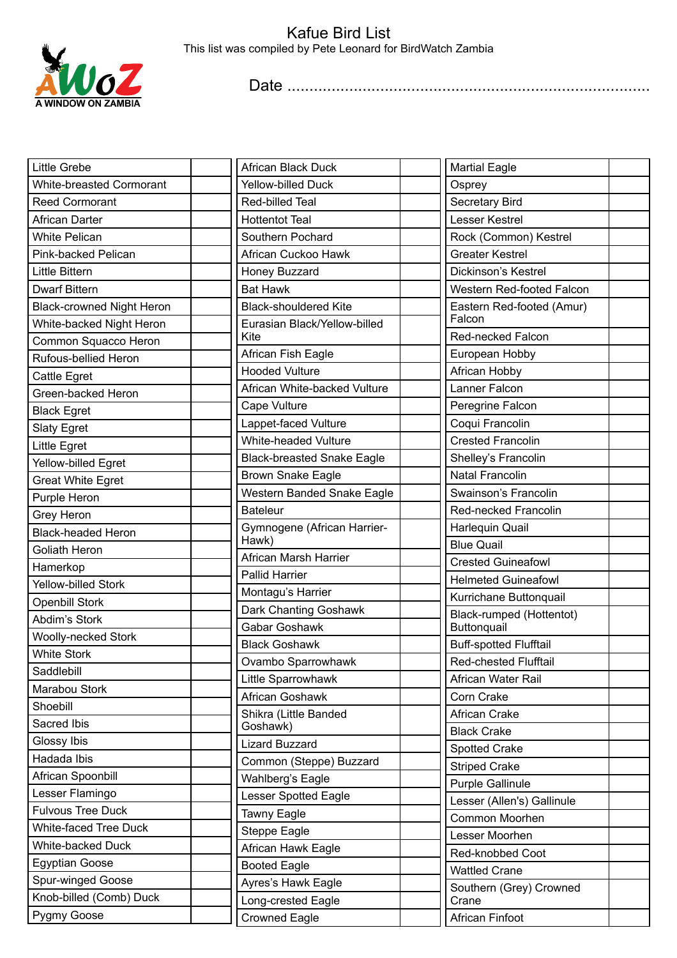

## Kafue Bird List This list was compiled by Pete Leonard for BirdWatch Zambia

Date ..................................................................................

| <b>Little Grebe</b>              | African Black Duck                             | <b>Martial Eagle</b>                         |  |
|----------------------------------|------------------------------------------------|----------------------------------------------|--|
| White-breasted Cormorant         | <b>Yellow-billed Duck</b>                      | Osprey                                       |  |
| <b>Reed Cormorant</b>            | Red-billed Teal                                | Secretary Bird                               |  |
| <b>African Darter</b>            | <b>Hottentot Teal</b>                          | Lesser Kestrel                               |  |
| <b>White Pelican</b>             | Southern Pochard                               | Rock (Common) Kestrel                        |  |
| Pink-backed Pelican              | African Cuckoo Hawk                            | <b>Greater Kestrel</b>                       |  |
| <b>Little Bittern</b>            | Honey Buzzard                                  | Dickinson's Kestrel                          |  |
| <b>Dwarf Bittern</b>             | <b>Bat Hawk</b>                                | Western Red-footed Falcon                    |  |
| <b>Black-crowned Night Heron</b> | <b>Black-shouldered Kite</b>                   | Eastern Red-footed (Amur)                    |  |
| White-backed Night Heron         | Eurasian Black/Yellow-billed                   | Falcon                                       |  |
| Common Squacco Heron             | Kite                                           | Red-necked Falcon                            |  |
| Rufous-bellied Heron             | African Fish Eagle                             | European Hobby                               |  |
| Cattle Egret                     | <b>Hooded Vulture</b>                          | African Hobby                                |  |
| Green-backed Heron               | African White-backed Vulture                   | Lanner Falcon                                |  |
| <b>Black Egret</b>               | Cape Vulture                                   | Peregrine Falcon                             |  |
| <b>Slaty Egret</b>               | Lappet-faced Vulture                           | Coqui Francolin                              |  |
| <b>Little Egret</b>              | White-headed Vulture                           | <b>Crested Francolin</b>                     |  |
| Yellow-billed Egret              | <b>Black-breasted Snake Eagle</b>              | Shelley's Francolin                          |  |
| <b>Great White Egret</b>         | <b>Brown Snake Eagle</b>                       | <b>Natal Francolin</b>                       |  |
| Purple Heron                     | Western Banded Snake Eagle                     | Swainson's Francolin                         |  |
| Grey Heron                       | <b>Bateleur</b>                                | Red-necked Francolin                         |  |
| <b>Black-headed Heron</b>        | Gymnogene (African Harrier-                    | Harlequin Quail                              |  |
| <b>Goliath Heron</b>             | Hawk)                                          | <b>Blue Quail</b>                            |  |
| Hamerkop                         | African Marsh Harrier<br><b>Pallid Harrier</b> | <b>Crested Guineafowl</b>                    |  |
| Yellow-billed Stork              |                                                | <b>Helmeted Guineafowl</b>                   |  |
| <b>Openbill Stork</b>            | Montagu's Harrier                              | Kurrichane Buttonquail                       |  |
| Abdim's Stork                    | Dark Chanting Goshawk<br>Gabar Goshawk         | Black-rumped (Hottentot)                     |  |
| Woolly-necked Stork              |                                                | Buttonquail<br><b>Buff-spotted Flufftail</b> |  |
| <b>White Stork</b>               | <b>Black Goshawk</b>                           |                                              |  |
| Saddlebill                       | Ovambo Sparrowhawk                             | Red-chested Flufftail                        |  |
| Marabou Stork                    | Little Sparrowhawk                             | African Water Rail                           |  |
| Shoebill                         | African Goshawk                                | Corn Crake                                   |  |
| Sacred Ibis                      | Shikra (Little Banded<br>Goshawk)              | African Crake                                |  |
| Glossy Ibis                      | <b>Lizard Buzzard</b>                          | <b>Black Crake</b>                           |  |
| Hadada Ibis                      | Common (Steppe) Buzzard                        | <b>Spotted Crake</b>                         |  |
| African Spoonbill                | Wahlberg's Eagle                               | <b>Striped Crake</b>                         |  |
| Lesser Flamingo                  | <b>Lesser Spotted Eagle</b>                    | Purple Gallinule                             |  |
| <b>Fulvous Tree Duck</b>         | Tawny Eagle                                    | Lesser (Allen's) Gallinule                   |  |
| White-faced Tree Duck            | Steppe Eagle                                   | Common Moorhen                               |  |
| White-backed Duck                | African Hawk Eagle                             | Lesser Moorhen                               |  |
| <b>Egyptian Goose</b>            | <b>Booted Eagle</b>                            | Red-knobbed Coot                             |  |
| Spur-winged Goose                | Ayres's Hawk Eagle                             | <b>Wattled Crane</b>                         |  |
| Knob-billed (Comb) Duck          | Long-crested Eagle                             | Southern (Grey) Crowned<br>Crane             |  |
| Pygmy Goose                      | <b>Crowned Eagle</b>                           | African Finfoot                              |  |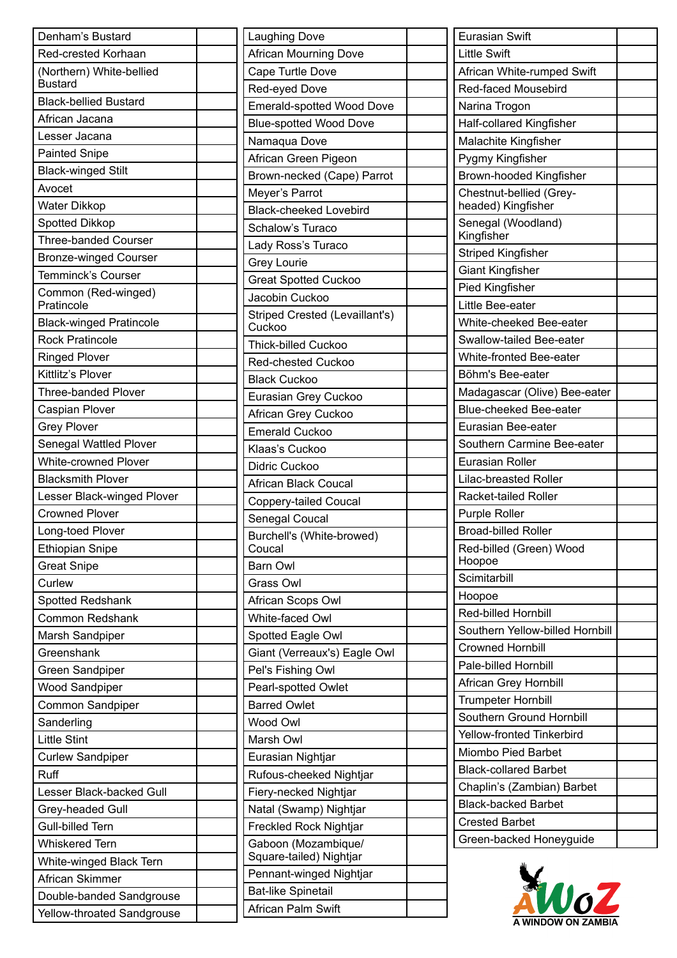| Denham's Bustard               | Laughing Dove                  | <b>Eurasian Swift</b>            |
|--------------------------------|--------------------------------|----------------------------------|
| Red-crested Korhaan            | <b>African Mourning Dove</b>   | <b>Little Swift</b>              |
| (Northern) White-bellied       | Cape Turtle Dove               | African White-rumped Swift       |
| <b>Bustard</b>                 | Red-eyed Dove                  | Red-faced Mousebird              |
| <b>Black-bellied Bustard</b>   | Emerald-spotted Wood Dove      | Narina Trogon                    |
| African Jacana                 | <b>Blue-spotted Wood Dove</b>  | Half-collared Kingfisher         |
| Lesser Jacana                  | Namaqua Dove                   | Malachite Kingfisher             |
| <b>Painted Snipe</b>           | African Green Pigeon           | Pygmy Kingfisher                 |
| <b>Black-winged Stilt</b>      | Brown-necked (Cape) Parrot     | Brown-hooded Kingfisher          |
| Avocet                         | Meyer's Parrot                 | Chestnut-bellied (Grey-          |
| Water Dikkop                   | <b>Black-cheeked Lovebird</b>  | headed) Kingfisher               |
| Spotted Dikkop                 | Schalow's Turaco               | Senegal (Woodland)               |
| <b>Three-banded Courser</b>    | Lady Ross's Turaco             | Kingfisher                       |
| <b>Bronze-winged Courser</b>   | <b>Grey Lourie</b>             | <b>Striped Kingfisher</b>        |
| Temminck's Courser             | <b>Great Spotted Cuckoo</b>    | <b>Giant Kingfisher</b>          |
| Common (Red-winged)            | Jacobin Cuckoo                 | Pied Kingfisher                  |
| Pratincole                     | Striped Crested (Levaillant's) | Little Bee-eater                 |
| <b>Black-winged Pratincole</b> | Cuckoo                         | White-cheeked Bee-eater          |
| <b>Rock Pratincole</b>         | <b>Thick-billed Cuckoo</b>     | Swallow-tailed Bee-eater         |
| <b>Ringed Plover</b>           | <b>Red-chested Cuckoo</b>      | White-fronted Bee-eater          |
| Kittlitz's Plover              | <b>Black Cuckoo</b>            | Böhm's Bee-eater                 |
| <b>Three-banded Plover</b>     | Eurasian Grey Cuckoo           | Madagascar (Olive) Bee-eater     |
| Caspian Plover                 | African Grey Cuckoo            | <b>Blue-cheeked Bee-eater</b>    |
| <b>Grey Plover</b>             | <b>Emerald Cuckoo</b>          | Eurasian Bee-eater               |
| Senegal Wattled Plover         | Klaas's Cuckoo                 | Southern Carmine Bee-eater       |
| White-crowned Plover           | Didric Cuckoo                  | <b>Eurasian Roller</b>           |
| <b>Blacksmith Plover</b>       | <b>African Black Coucal</b>    | Lilac-breasted Roller            |
| Lesser Black-winged Plover     | Coppery-tailed Coucal          | Racket-tailed Roller             |
| <b>Crowned Plover</b>          | Senegal Coucal                 | Purple Roller                    |
| Long-toed Plover               | Burchell's (White-browed)      | <b>Broad-billed Roller</b>       |
| <b>Ethiopian Snipe</b>         | Coucal                         | Red-billed (Green) Wood          |
| <b>Great Snipe</b>             | Barn Owl                       | Hoopoe                           |
| Curlew                         | Grass Owl                      | Scimitarbill                     |
| <b>Spotted Redshank</b>        | African Scops Owl              | Hoopoe                           |
| <b>Common Redshank</b>         | White-faced Owl                | Red-billed Hornbill              |
| Marsh Sandpiper                | Spotted Eagle Owl              | Southern Yellow-billed Hornbill  |
| Greenshank                     | Giant (Verreaux's) Eagle Owl   | <b>Crowned Hornbill</b>          |
| Green Sandpiper                | Pel's Fishing Owl              | Pale-billed Hornbill             |
| <b>Wood Sandpiper</b>          | Pearl-spotted Owlet            | African Grey Hornbill            |
| Common Sandpiper               | <b>Barred Owlet</b>            | <b>Trumpeter Hornbill</b>        |
| Sanderling                     | Wood Owl                       | Southern Ground Hornbill         |
| <b>Little Stint</b>            | Marsh Owl                      | <b>Yellow-fronted Tinkerbird</b> |
| <b>Curlew Sandpiper</b>        | Eurasian Nightjar              | Miombo Pied Barbet               |
| Ruff                           | Rufous-cheeked Nightjar        | <b>Black-collared Barbet</b>     |
| Lesser Black-backed Gull       | Fiery-necked Nightjar          | Chaplin's (Zambian) Barbet       |
| Grey-headed Gull               | Natal (Swamp) Nightjar         | <b>Black-backed Barbet</b>       |
| Gull-billed Tern               | Freckled Rock Nightjar         | <b>Crested Barbet</b>            |
| <b>Whiskered Tern</b>          | Gaboon (Mozambique/            | Green-backed Honeyguide          |
| White-winged Black Tern        | Square-tailed) Nightjar        |                                  |
| African Skimmer                | Pennant-winged Nightjar        |                                  |
| Double-banded Sandgrouse       | <b>Bat-like Spinetail</b>      | WoZ                              |
| Yellow-throated Sandgrouse     | African Palm Swift             |                                  |
|                                |                                |                                  |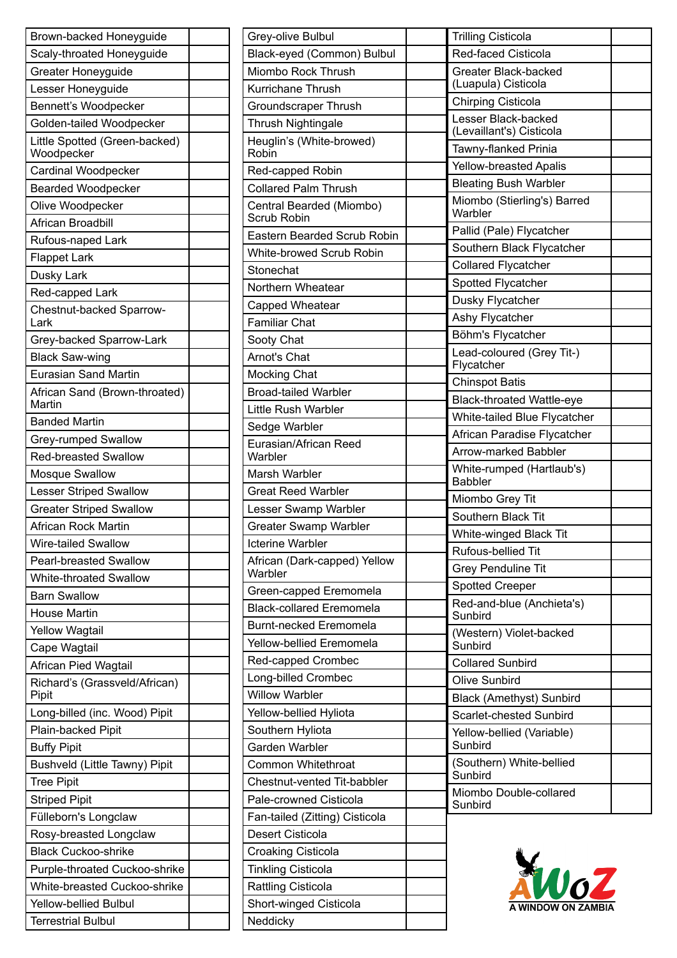| Brown-backed Honeyguide                     | Gr         |
|---------------------------------------------|------------|
| Scaly-throated Honeyguide                   | Bla        |
| <b>Greater Honeyguide</b>                   | Mi         |
| Lesser Honeyguide                           | Ku         |
| Bennett's Woodpecker                        | Gr         |
| Golden-tailed Woodpecker                    | Th         |
| Little Spotted (Green-backed)<br>Woodpecker | He<br>Rc   |
| Cardinal Woodpecker                         | Re         |
| <b>Bearded Woodpecker</b>                   | Cc         |
| Olive Woodpecker                            | Сe         |
| African Broadbill                           | Sc         |
| Rufous-naped Lark                           | Ea         |
| <b>Flappet Lark</b>                         | WI         |
| Dusky Lark                                  | <b>Sto</b> |
| Red-capped Lark                             | Nc         |
| Chestnut-backed Sparrow-                    | Ca         |
| Lark                                        | Fa         |
| Grey-backed Sparrow-Lark                    | So         |
| <b>Black Saw-wing</b>                       | Arı        |
| <b>Eurasian Sand Martin</b>                 | Mo         |
| African Sand (Brown-throated)               | <b>Br</b>  |
| Martin                                      | Lit        |
| <b>Banded Martin</b>                        | Se         |
| Grey-rumped Swallow                         | Eu         |
| <b>Red-breasted Swallow</b>                 | W          |
| Mosque Swallow                              | Mε         |
| <b>Lesser Striped Swallow</b>               | Gr         |
| <b>Greater Striped Swallow</b>              | Le         |
| African Rock Martin                         | Gr         |
| Wire-tailed Swallow                         | Ict        |
| <b>Pearl-breasted Swallow</b>               | Afı<br>W   |
| <b>White-throated Swallow</b>               | Gr         |
| <b>Barn Swallow</b>                         | Bla        |
| <b>House Martin</b>                         | Bu         |
| <b>Yellow Wagtail</b>                       | Ye         |
| Cape Wagtail                                |            |
| African Pied Wagtail                        | Re         |
| Richard's (Grassveld/African)<br>Pipit      | Lo<br>Wi   |
| Long-billed (inc. Wood) Pipit               | Ye         |
| Plain-backed Pipit                          | So         |
| <b>Buffy Pipit</b>                          | Gε         |
| Bushveld (Little Tawny) Pipit               | Cc         |
| <b>Tree Pipit</b>                           | Ch         |
| <b>Striped Pipit</b>                        | Pa         |
| Fülleborn's Longclaw                        | Fa         |
| Rosy-breasted Longclaw                      | De         |
| <b>Black Cuckoo-shrike</b>                  | Cr         |
| Purple-throated Cuckoo-shrike               | Tir        |
| White-breasted Cuckoo-shrike                | Ra         |
| <b>Yellow-bellied Bulbul</b>                | Sh         |
| <b>Terrestrial Bulbul</b>                   | Ne         |

| Grey-olive Bulbul                       |  |
|-----------------------------------------|--|
| Black-eyed (Common) Bulbul              |  |
| Miombo Rock Thrush                      |  |
| Kurrichane Thrush                       |  |
| <b>Groundscraper Thrush</b>             |  |
| <b>Thrush Nightingale</b>               |  |
| Heuglin's (White-browed)<br>Robin       |  |
| Red-capped Robin                        |  |
| <b>Collared Palm Thrush</b>             |  |
| Central Bearded (Miombo)                |  |
| Scrub Robin                             |  |
| <b>Eastern Bearded Scrub Robin</b>      |  |
| White-browed Scrub Robin                |  |
| Stonechat                               |  |
| Northern Wheatear                       |  |
| Capped Wheatear                         |  |
| <b>Familiar Chat</b>                    |  |
| Sooty Chat                              |  |
| Arnot's Chat                            |  |
| Mocking Chat                            |  |
| <b>Broad-tailed Warbler</b>             |  |
| Little Rush Warbler                     |  |
| Sedge Warbler                           |  |
| Eurasian/African Reed                   |  |
| Warbler                                 |  |
| Marsh Warbler                           |  |
| <b>Great Reed Warbler</b>               |  |
| Lesser Swamp Warbler                    |  |
| <b>Greater Swamp Warbler</b>            |  |
| <b>Icterine Warbler</b>                 |  |
| African (Dark-capped) Yellow<br>Warbler |  |
| Green-capped Eremomela                  |  |
| <b>Black-collared Eremomela</b>         |  |
| <b>Burnt-necked Eremomela</b>           |  |
| Yellow-bellied Eremomela                |  |
| Red-capped Crombec                      |  |
| Long-billed Crombec                     |  |
| <b>Willow Warbler</b>                   |  |
| Yellow-bellied Hyliota                  |  |
| Southern Hyliota                        |  |
| Garden Warbler                          |  |
| Common Whitethroat                      |  |
| Chestnut-vented Tit-babbler             |  |
| Pale-crowned Cisticola                  |  |
| Fan-tailed (Zitting) Cisticola          |  |
| Desert Cisticola                        |  |
| Croaking Cisticola                      |  |
| <b>Tinkling Cisticola</b>               |  |
| <b>Rattling Cisticola</b>               |  |
| <b>Short-winged Cisticola</b>           |  |
| Neddicky                                |  |
|                                         |  |

 $\overline{\mathsf{T}}$ 

| <b>Trilling Cisticola</b>                   |  |
|---------------------------------------------|--|
| <b>Red-faced Cisticola</b>                  |  |
| Greater Black-backed<br>(Luapula) Cisticola |  |
| <b>Chirping Cisticola</b>                   |  |
| Lesser Black-backed                         |  |
| (Levaillant's) Cisticola                    |  |
| Tawny-flanked Prinia                        |  |
| <b>Yellow-breasted Apalis</b>               |  |
| <b>Bleating Bush Warbler</b>                |  |
| Miombo (Stierling's) Barred<br>Warbler      |  |
| Pallid (Pale) Flycatcher                    |  |
| Southern Black Flycatcher                   |  |
| <b>Collared Flycatcher</b>                  |  |
| Spotted Flycatcher                          |  |
| Dusky Flycatcher                            |  |
| Ashy Flycatcher                             |  |
| Böhm's Flycatcher                           |  |
| Lead-coloured (Grey Tit-)<br>Flycatcher     |  |
| <b>Chinspot Batis</b>                       |  |
| <b>Black-throated Wattle-eye</b>            |  |
| White-tailed Blue Flycatcher                |  |
| African Paradise Flycatcher                 |  |
| Arrow-marked Babbler                        |  |
| White-rumped (Hartlaub's)<br><b>Babbler</b> |  |
| Miombo Grey Tit                             |  |
| Southern Black Tit                          |  |
| White-winged Black Tit                      |  |
| Rufous-bellied Tit                          |  |
| Grey Penduline Tit                          |  |
| <b>Spotted Creeper</b>                      |  |
| Red-and-blue (Anchieta's)<br>Sunbird        |  |
| (Western) Violet-backed<br>Sunbird          |  |
| <b>Collared Sunbird</b>                     |  |
| <b>Olive Sunbird</b>                        |  |
| <b>Black (Amethyst) Sunbird</b>             |  |
| <b>Scarlet-chested Sunbird</b>              |  |
| Yellow-bellied (Variable)<br>Sunbird        |  |
| (Southern) White-bellied<br>Sunbird         |  |
| Miombo Double-collared<br>Sunbird           |  |